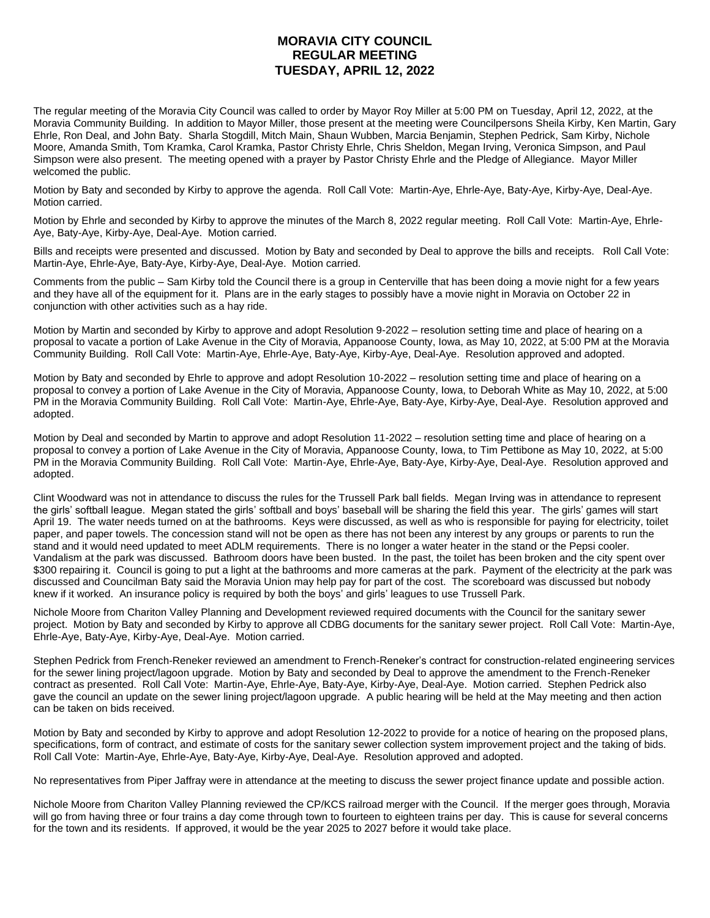## **MORAVIA CITY COUNCIL REGULAR MEETING TUESDAY, APRIL 12, 2022**

The regular meeting of the Moravia City Council was called to order by Mayor Roy Miller at 5:00 PM on Tuesday, April 12, 2022, at the Moravia Community Building. In addition to Mayor Miller, those present at the meeting were Councilpersons Sheila Kirby, Ken Martin, Gary Ehrle, Ron Deal, and John Baty. Sharla Stogdill, Mitch Main, Shaun Wubben, Marcia Benjamin, Stephen Pedrick, Sam Kirby, Nichole Moore, Amanda Smith, Tom Kramka, Carol Kramka, Pastor Christy Ehrle, Chris Sheldon, Megan Irving, Veronica Simpson, and Paul Simpson were also present. The meeting opened with a prayer by Pastor Christy Ehrle and the Pledge of Allegiance. Mayor Miller welcomed the public.

Motion by Baty and seconded by Kirby to approve the agenda. Roll Call Vote: Martin-Aye, Ehrle-Aye, Baty-Aye, Kirby-Aye, Deal-Aye. Motion carried.

Motion by Ehrle and seconded by Kirby to approve the minutes of the March 8, 2022 regular meeting. Roll Call Vote: Martin-Aye, Ehrle-Aye, Baty-Aye, Kirby-Aye, Deal-Aye. Motion carried.

Bills and receipts were presented and discussed. Motion by Baty and seconded by Deal to approve the bills and receipts. Roll Call Vote: Martin-Aye, Ehrle-Aye, Baty-Aye, Kirby-Aye, Deal-Aye. Motion carried.

Comments from the public – Sam Kirby told the Council there is a group in Centerville that has been doing a movie night for a few years and they have all of the equipment for it. Plans are in the early stages to possibly have a movie night in Moravia on October 22 in conjunction with other activities such as a hay ride.

Motion by Martin and seconded by Kirby to approve and adopt Resolution 9-2022 – resolution setting time and place of hearing on a proposal to vacate a portion of Lake Avenue in the City of Moravia, Appanoose County, Iowa, as May 10, 2022, at 5:00 PM at the Moravia Community Building. Roll Call Vote: Martin-Aye, Ehrle-Aye, Baty-Aye, Kirby-Aye, Deal-Aye. Resolution approved and adopted.

Motion by Baty and seconded by Ehrle to approve and adopt Resolution 10-2022 – resolution setting time and place of hearing on a proposal to convey a portion of Lake Avenue in the City of Moravia, Appanoose County, Iowa, to Deborah White as May 10, 2022, at 5:00 PM in the Moravia Community Building. Roll Call Vote: Martin-Aye, Ehrle-Aye, Baty-Aye, Kirby-Aye, Deal-Aye. Resolution approved and adopted.

Motion by Deal and seconded by Martin to approve and adopt Resolution 11-2022 – resolution setting time and place of hearing on a proposal to convey a portion of Lake Avenue in the City of Moravia, Appanoose County, Iowa, to Tim Pettibone as May 10, 2022, at 5:00 PM in the Moravia Community Building. Roll Call Vote: Martin-Aye, Ehrle-Aye, Baty-Aye, Kirby-Aye, Deal-Aye. Resolution approved and adopted.

Clint Woodward was not in attendance to discuss the rules for the Trussell Park ball fields. Megan Irving was in attendance to represent the girls' softball league. Megan stated the girls' softball and boys' baseball will be sharing the field this year. The girls' games will start April 19. The water needs turned on at the bathrooms. Keys were discussed, as well as who is responsible for paying for electricity, toilet paper, and paper towels. The concession stand will not be open as there has not been any interest by any groups or parents to run the stand and it would need updated to meet ADLM requirements. There is no longer a water heater in the stand or the Pepsi cooler. Vandalism at the park was discussed. Bathroom doors have been busted. In the past, the toilet has been broken and the city spent over \$300 repairing it. Council is going to put a light at the bathrooms and more cameras at the park. Payment of the electricity at the park was discussed and Councilman Baty said the Moravia Union may help pay for part of the cost. The scoreboard was discussed but nobody knew if it worked. An insurance policy is required by both the boys' and girls' leagues to use Trussell Park.

Nichole Moore from Chariton Valley Planning and Development reviewed required documents with the Council for the sanitary sewer project. Motion by Baty and seconded by Kirby to approve all CDBG documents for the sanitary sewer project. Roll Call Vote: Martin-Aye, Ehrle-Aye, Baty-Aye, Kirby-Aye, Deal-Aye. Motion carried.

Stephen Pedrick from French-Reneker reviewed an amendment to French-Reneker's contract for construction-related engineering services for the sewer lining project/lagoon upgrade. Motion by Baty and seconded by Deal to approve the amendment to the French-Reneker contract as presented. Roll Call Vote: Martin-Aye, Ehrle-Aye, Baty-Aye, Kirby-Aye, Deal-Aye. Motion carried. Stephen Pedrick also gave the council an update on the sewer lining project/lagoon upgrade. A public hearing will be held at the May meeting and then action can be taken on bids received.

Motion by Baty and seconded by Kirby to approve and adopt Resolution 12-2022 to provide for a notice of hearing on the proposed plans, specifications, form of contract, and estimate of costs for the sanitary sewer collection system improvement project and the taking of bids. Roll Call Vote: Martin-Aye, Ehrle-Aye, Baty-Aye, Kirby-Aye, Deal-Aye. Resolution approved and adopted.

No representatives from Piper Jaffray were in attendance at the meeting to discuss the sewer project finance update and possible action.

Nichole Moore from Chariton Valley Planning reviewed the CP/KCS railroad merger with the Council. If the merger goes through, Moravia will go from having three or four trains a day come through town to fourteen to eighteen trains per day. This is cause for several concerns for the town and its residents. If approved, it would be the year 2025 to 2027 before it would take place.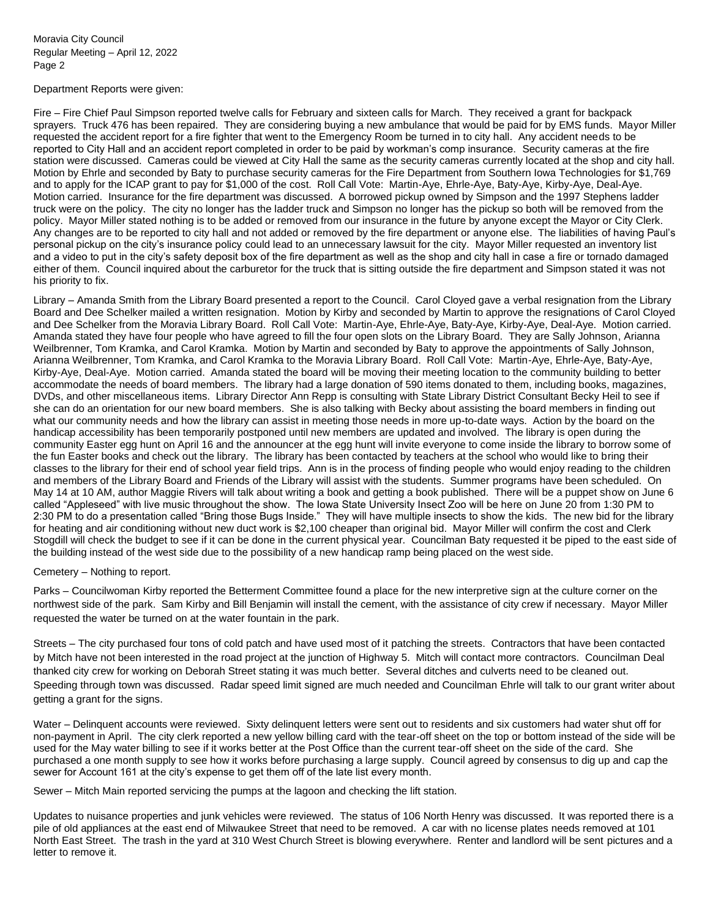Moravia City Council Regular Meeting – April 12, 2022 Page 2

Department Reports were given:

Fire – Fire Chief Paul Simpson reported twelve calls for February and sixteen calls for March. They received a grant for backpack sprayers. Truck 476 has been repaired. They are considering buying a new ambulance that would be paid for by EMS funds. Mayor Miller requested the accident report for a fire fighter that went to the Emergency Room be turned in to city hall. Any accident needs to be reported to City Hall and an accident report completed in order to be paid by workman's comp insurance. Security cameras at the fire station were discussed. Cameras could be viewed at City Hall the same as the security cameras currently located at the shop and city hall. Motion by Ehrle and seconded by Baty to purchase security cameras for the Fire Department from Southern Iowa Technologies for \$1,769 and to apply for the ICAP grant to pay for \$1,000 of the cost. Roll Call Vote: Martin-Aye, Ehrle-Aye, Baty-Aye, Kirby-Aye, Deal-Aye. Motion carried. Insurance for the fire department was discussed. A borrowed pickup owned by Simpson and the 1997 Stephens ladder truck were on the policy. The city no longer has the ladder truck and Simpson no longer has the pickup so both will be removed from the policy. Mayor Miller stated nothing is to be added or removed from our insurance in the future by anyone except the Mayor or City Clerk. Any changes are to be reported to city hall and not added or removed by the fire department or anyone else. The liabilities of having Paul's personal pickup on the city's insurance policy could lead to an unnecessary lawsuit for the city. Mayor Miller requested an inventory list and a video to put in the city's safety deposit box of the fire department as well as the shop and city hall in case a fire or tornado damaged either of them. Council inquired about the carburetor for the truck that is sitting outside the fire department and Simpson stated it was not his priority to fix.

Library – Amanda Smith from the Library Board presented a report to the Council. Carol Cloyed gave a verbal resignation from the Library Board and Dee Schelker mailed a written resignation. Motion by Kirby and seconded by Martin to approve the resignations of Carol Cloyed and Dee Schelker from the Moravia Library Board. Roll Call Vote: Martin-Aye, Ehrle-Aye, Baty-Aye, Kirby-Aye, Deal-Aye. Motion carried. Amanda stated they have four people who have agreed to fill the four open slots on the Library Board. They are Sally Johnson, Arianna Weilbrenner, Tom Kramka, and Carol Kramka. Motion by Martin and seconded by Baty to approve the appointments of Sally Johnson, Arianna Weilbrenner, Tom Kramka, and Carol Kramka to the Moravia Library Board. Roll Call Vote: Martin-Aye, Ehrle-Aye, Baty-Aye, Kirby-Aye, Deal-Aye. Motion carried. Amanda stated the board will be moving their meeting location to the community building to better accommodate the needs of board members. The library had a large donation of 590 items donated to them, including books, magazines, DVDs, and other miscellaneous items. Library Director Ann Repp is consulting with State Library District Consultant Becky Heil to see if she can do an orientation for our new board members. She is also talking with Becky about assisting the board members in finding out what our community needs and how the library can assist in meeting those needs in more up-to-date ways. Action by the board on the handicap accessibility has been temporarily postponed until new members are updated and involved. The library is open during the community Easter egg hunt on April 16 and the announcer at the egg hunt will invite everyone to come inside the library to borrow some of the fun Easter books and check out the library. The library has been contacted by teachers at the school who would like to bring their classes to the library for their end of school year field trips. Ann is in the process of finding people who would enjoy reading to the children and members of the Library Board and Friends of the Library will assist with the students. Summer programs have been scheduled. On May 14 at 10 AM, author Maggie Rivers will talk about writing a book and getting a book published. There will be a puppet show on June 6 called "Appleseed" with live music throughout the show. The Iowa State University Insect Zoo will be here on June 20 from 1:30 PM to 2:30 PM to do a presentation called "Bring those Bugs Inside." They will have multiple insects to show the kids. The new bid for the library for heating and air conditioning without new duct work is \$2,100 cheaper than original bid. Mayor Miller will confirm the cost and Clerk Stogdill will check the budget to see if it can be done in the current physical year. Councilman Baty requested it be piped to the east side of the building instead of the west side due to the possibility of a new handicap ramp being placed on the west side.

## Cemetery – Nothing to report.

Parks – Councilwoman Kirby reported the Betterment Committee found a place for the new interpretive sign at the culture corner on the northwest side of the park. Sam Kirby and Bill Benjamin will install the cement, with the assistance of city crew if necessary. Mayor Miller requested the water be turned on at the water fountain in the park.

Streets – The city purchased four tons of cold patch and have used most of it patching the streets. Contractors that have been contacted by Mitch have not been interested in the road project at the junction of Highway 5. Mitch will contact more contractors. Councilman Deal thanked city crew for working on Deborah Street stating it was much better. Several ditches and culverts need to be cleaned out. Speeding through town was discussed. Radar speed limit signed are much needed and Councilman Ehrle will talk to our grant writer about getting a grant for the signs.

Water – Delinguent accounts were reviewed. Sixty delinguent letters were sent out to residents and six customers had water shut off for non-payment in April. The city clerk reported a new yellow billing card with the tear-off sheet on the top or bottom instead of the side will be used for the May water billing to see if it works better at the Post Office than the current tear-off sheet on the side of the card. She purchased a one month supply to see how it works before purchasing a large supply. Council agreed by consensus to dig up and cap the sewer for Account 161 at the city's expense to get them off of the late list every month.

Sewer – Mitch Main reported servicing the pumps at the lagoon and checking the lift station.

Updates to nuisance properties and junk vehicles were reviewed. The status of 106 North Henry was discussed. It was reported there is a pile of old appliances at the east end of Milwaukee Street that need to be removed. A car with no license plates needs removed at 101 North East Street. The trash in the yard at 310 West Church Street is blowing everywhere. Renter and landlord will be sent pictures and a letter to remove it.